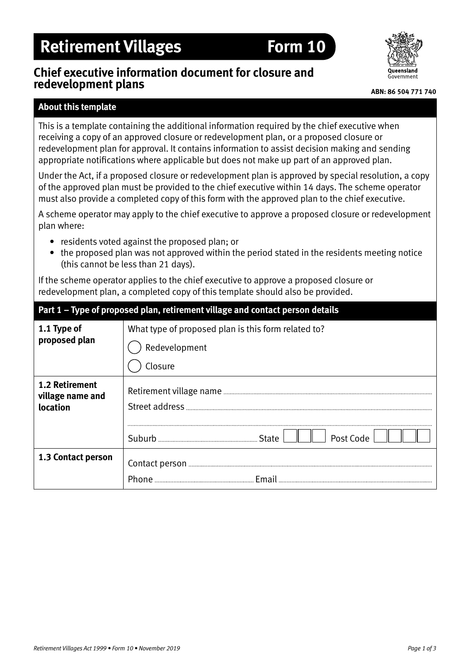# **Retirement Villages Form 10**

# **Chief executive information document for closure and redevelopment plans**



### **ABN: 86 504 771 740**

## **About this template**

This is a template containing the additional information required by the chief executive when receiving a copy of an approved closure or redevelopment plan, or a proposed closure or redevelopment plan for approval. It contains information to assist decision making and sending appropriate notifications where applicable but does not make up part of an approved plan.

Under the Act, if a proposed closure or redevelopment plan is approved by special resolution, a copy of the approved plan must be provided to the chief executive within 14 days. The scheme operator must also provide a completed copy of this form with the approved plan to the chief executive.

A scheme operator may apply to the chief executive to approve a proposed closure or redevelopment plan where:

- residents voted against the proposed plan; or
- the proposed plan was not approved within the period stated in the residents meeting notice (this cannot be less than 21 days).

If the scheme operator applies to the chief executive to approve a proposed closure or redevelopment plan, a completed copy of this template should also be provided.

| Part 1 - Type of proposed plan, retirement village and contact person details |                                                     |  |
|-------------------------------------------------------------------------------|-----------------------------------------------------|--|
| 1.1 Type of<br>proposed plan                                                  | What type of proposed plan is this form related to? |  |
|                                                                               | Redevelopment                                       |  |
|                                                                               | Closure                                             |  |
| <b>1.2 Retirement</b><br>village name and<br>location                         |                                                     |  |
|                                                                               | Post Code                                           |  |
| 1.3 Contact person                                                            |                                                     |  |
|                                                                               |                                                     |  |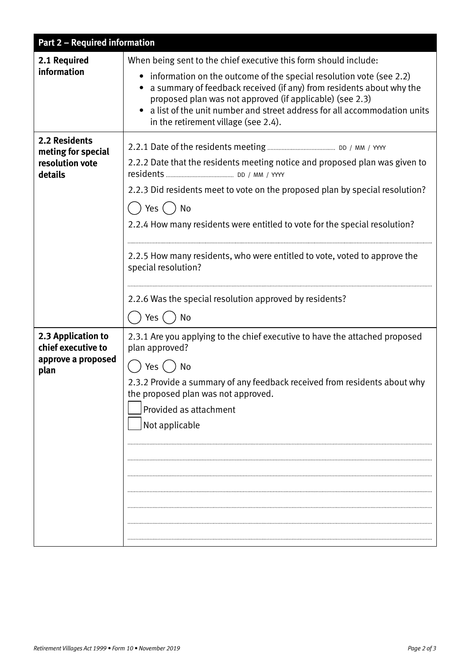| <b>Part 2 - Required information</b>                                     |                                                                                                                                                                                                                                                                                                                                                                                                                                            |
|--------------------------------------------------------------------------|--------------------------------------------------------------------------------------------------------------------------------------------------------------------------------------------------------------------------------------------------------------------------------------------------------------------------------------------------------------------------------------------------------------------------------------------|
| 2.1 Required<br>information                                              | When being sent to the chief executive this form should include:<br>information on the outcome of the special resolution vote (see 2.2)<br>a summary of feedback received (if any) from residents about why the<br>proposed plan was not approved (if applicable) (see 2.3)<br>a list of the unit number and street address for all accommodation units<br>in the retirement village (see 2.4).                                            |
| <b>2.2 Residents</b><br>meting for special<br>resolution vote<br>details | 2.2.2 Date that the residents meeting notice and proposed plan was given to<br>2.2.3 Did residents meet to vote on the proposed plan by special resolution?<br>Yes $( )$<br>No<br>2.2.4 How many residents were entitled to vote for the special resolution?<br>2.2.5 How many residents, who were entitled to vote, voted to approve the<br>special resolution?<br>2.2.6 Was the special resolution approved by residents?<br>Yes (<br>No |
| 2.3 Application to<br>chief executive to<br>approve a proposed<br>plan   | 2.3.1 Are you applying to the chief executive to have the attached proposed<br>plan approved?<br>Yes () No<br>2.3.2 Provide a summary of any feedback received from residents about why<br>the proposed plan was not approved.<br>Provided as attachment<br>Not applicable                                                                                                                                                                 |